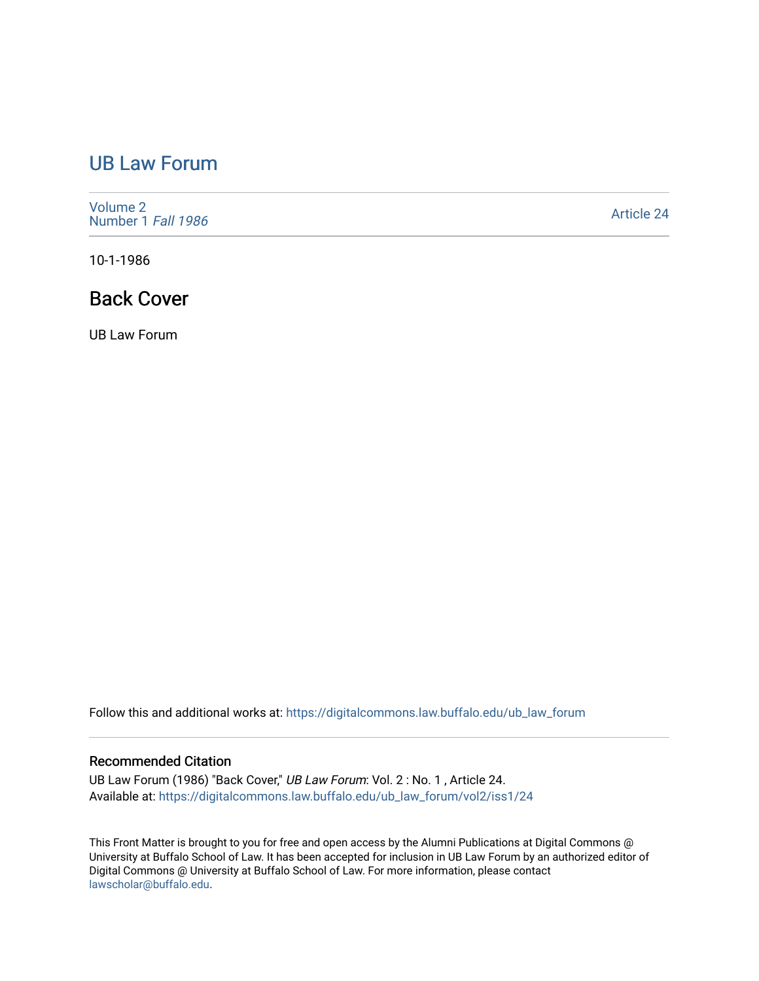## [UB Law Forum](https://digitalcommons.law.buffalo.edu/ub_law_forum)

[Volume 2](https://digitalcommons.law.buffalo.edu/ub_law_forum/vol2) [Number 1](https://digitalcommons.law.buffalo.edu/ub_law_forum/vol2/iss1) Fall 1986

[Article 24](https://digitalcommons.law.buffalo.edu/ub_law_forum/vol2/iss1/24) 

10-1-1986

## Back Cover

UB Law Forum

Follow this and additional works at: [https://digitalcommons.law.buffalo.edu/ub\\_law\\_forum](https://digitalcommons.law.buffalo.edu/ub_law_forum?utm_source=digitalcommons.law.buffalo.edu%2Fub_law_forum%2Fvol2%2Fiss1%2F24&utm_medium=PDF&utm_campaign=PDFCoverPages) 

## Recommended Citation

UB Law Forum (1986) "Back Cover," UB Law Forum: Vol. 2 : No. 1 , Article 24. Available at: [https://digitalcommons.law.buffalo.edu/ub\\_law\\_forum/vol2/iss1/24](https://digitalcommons.law.buffalo.edu/ub_law_forum/vol2/iss1/24?utm_source=digitalcommons.law.buffalo.edu%2Fub_law_forum%2Fvol2%2Fiss1%2F24&utm_medium=PDF&utm_campaign=PDFCoverPages)

This Front Matter is brought to you for free and open access by the Alumni Publications at Digital Commons @ University at Buffalo School of Law. It has been accepted for inclusion in UB Law Forum by an authorized editor of Digital Commons @ University at Buffalo School of Law. For more information, please contact [lawscholar@buffalo.edu](mailto:lawscholar@buffalo.edu).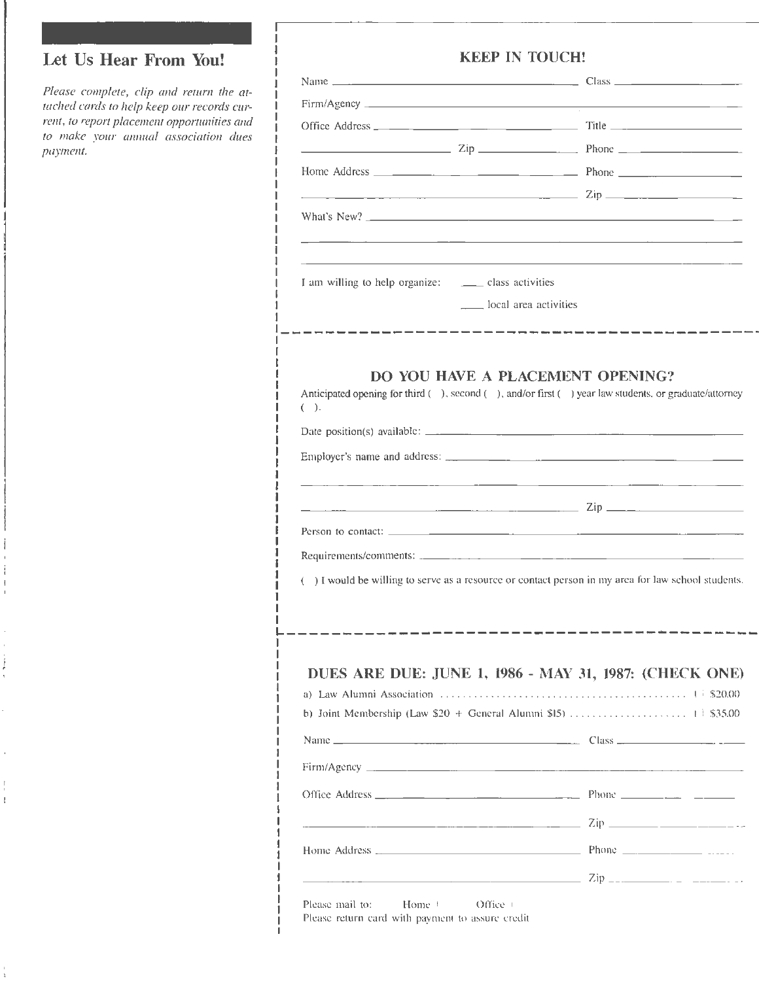## Let Us Hear From You!

ļ  $\mathfrak l$ 

*Please complete, clip and return the atwched cords to help keep our records current, to report placemem opportunities and to make your annual association dues paymem.* 

I I I I I I I I I I I I I I I I I I I I I

I I I I I I

I I I I I I I I I I I I I I I I I I I I I I I I

|                                                            | <b>KEEP IN TOUCH!</b> |                                                                                                                                                                                                                                                                                                                         |
|------------------------------------------------------------|-----------------------|-------------------------------------------------------------------------------------------------------------------------------------------------------------------------------------------------------------------------------------------------------------------------------------------------------------------------|
|                                                            |                       |                                                                                                                                                                                                                                                                                                                         |
|                                                            |                       |                                                                                                                                                                                                                                                                                                                         |
|                                                            |                       |                                                                                                                                                                                                                                                                                                                         |
|                                                            |                       | $\frac{2ip}{p}$ $\frac{2ip}{p}$ $\frac{p}{p}$ $\frac{p}{p}$ $\frac{p}{p}$ $\frac{p}{p}$ $\frac{p}{p}$ $\frac{p}{p}$ $\frac{p}{p}$ $\frac{p}{p}$ $\frac{p}{p}$ $\frac{p}{p}$ $\frac{p}{p}$ $\frac{p}{p}$ $\frac{p}{p}$ $\frac{p}{p}$ $\frac{p}{p}$ $\frac{p}{p}$ $\frac{p}{p}$ $\frac{p}{p}$ $\frac{p}{p}$ $\frac{p}{p}$ |
|                                                            |                       |                                                                                                                                                                                                                                                                                                                         |
|                                                            |                       |                                                                                                                                                                                                                                                                                                                         |
| What's New? <b>Example 2008</b> What's New ?               |                       |                                                                                                                                                                                                                                                                                                                         |
|                                                            |                       |                                                                                                                                                                                                                                                                                                                         |
| I am willing to help organize: __________ class activities |                       |                                                                                                                                                                                                                                                                                                                         |
|                                                            | local area activities |                                                                                                                                                                                                                                                                                                                         |
| $(\ )$ .                                                   |                       |                                                                                                                                                                                                                                                                                                                         |
|                                                            |                       |                                                                                                                                                                                                                                                                                                                         |
|                                                            |                       |                                                                                                                                                                                                                                                                                                                         |
|                                                            |                       |                                                                                                                                                                                                                                                                                                                         |
|                                                            |                       |                                                                                                                                                                                                                                                                                                                         |
|                                                            |                       |                                                                                                                                                                                                                                                                                                                         |
|                                                            |                       |                                                                                                                                                                                                                                                                                                                         |
| €                                                          |                       |                                                                                                                                                                                                                                                                                                                         |
|                                                            |                       |                                                                                                                                                                                                                                                                                                                         |
|                                                            |                       |                                                                                                                                                                                                                                                                                                                         |
|                                                            |                       |                                                                                                                                                                                                                                                                                                                         |
|                                                            |                       |                                                                                                                                                                                                                                                                                                                         |
|                                                            |                       |                                                                                                                                                                                                                                                                                                                         |
|                                                            |                       |                                                                                                                                                                                                                                                                                                                         |
|                                                            |                       |                                                                                                                                                                                                                                                                                                                         |
|                                                            |                       |                                                                                                                                                                                                                                                                                                                         |
|                                                            |                       |                                                                                                                                                                                                                                                                                                                         |
|                                                            |                       |                                                                                                                                                                                                                                                                                                                         |
|                                                            |                       | ) I would be willing to serve as a resource or contact person in my area for law school students.<br>DUES ARE DUE: JUNE 1, 1986 - MAY 31, 1987: (CHECK ONE)                                                                                                                                                             |